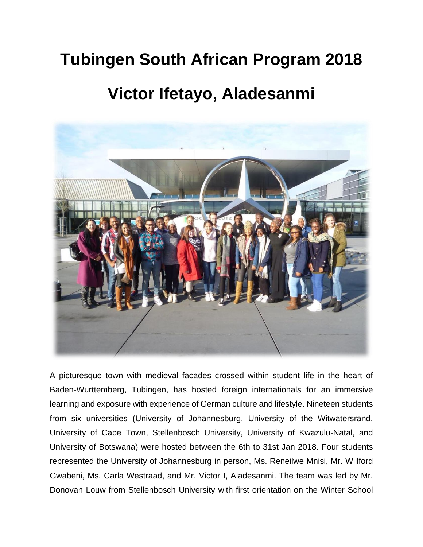## **Tubingen South African Program 2018**

## **Victor Ifetayo, Aladesanmi**



A picturesque town with medieval facades crossed within student life in the heart of Baden-Wurttemberg, Tubingen, has hosted foreign internationals for an immersive learning and exposure with experience of German culture and lifestyle. Nineteen students from six universities (University of Johannesburg, University of the Witwatersrand, University of Cape Town, Stellenbosch University, University of Kwazulu-Natal, and University of Botswana) were hosted between the 6th to 31st Jan 2018. Four students represented the University of Johannesburg in person, Ms. Reneilwe Mnisi, Mr. Willford Gwabeni, Ms. Carla Westraad, and Mr. Victor I, Aladesanmi. The team was led by Mr. Donovan Louw from Stellenbosch University with first orientation on the Winter School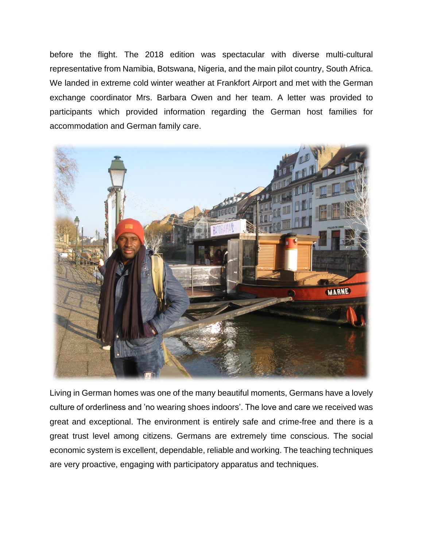before the flight. The 2018 edition was spectacular with diverse multi-cultural representative from Namibia, Botswana, Nigeria, and the main pilot country, South Africa. We landed in extreme cold winter weather at Frankfort Airport and met with the German exchange coordinator Mrs. Barbara Owen and her team. A letter was provided to participants which provided information regarding the German host families for accommodation and German family care.



Living in German homes was one of the many beautiful moments, Germans have a lovely culture of orderliness and 'no wearing shoes indoors'. The love and care we received was great and exceptional. The environment is entirely safe and crime-free and there is a great trust level among citizens. Germans are extremely time conscious. The social economic system is excellent, dependable, reliable and working. The teaching techniques are very proactive, engaging with participatory apparatus and techniques.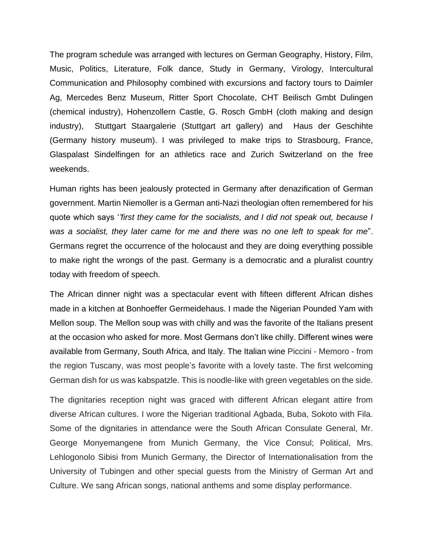The program schedule was arranged with lectures on German Geography, History, Film, Music, Politics, Literature, Folk dance, Study in Germany, Virology, Intercultural Communication and Philosophy combined with excursions and factory tours to Daimler Ag, Mercedes Benz Museum, Ritter Sport Chocolate, CHT Beilisch Gmbt Dulingen (chemical industry), Hohenzollern Castle, G. Rosch GmbH (cloth making and design industry), Stuttgart Staargalerie (Stuttgart art gallery) and Haus der Geschihte (Germany history museum). I was privileged to make trips to Strasbourg, France, Glaspalast Sindelfingen for an athletics race and Zurich Switzerland on the free weekends.

Human rights has been jealously protected in Germany after denazification of German government. Martin Niemoller is a German anti-Nazi theologian often remembered for his quote which says '*'first they came for the socialists, and I did not speak out, because I was a socialist, they later came for me and there was no one left to speak for me*". Germans regret the occurrence of the holocaust and they are doing everything possible to make right the wrongs of the past. Germany is a democratic and a pluralist country today with freedom of speech.

The African dinner night was a spectacular event with fifteen different African dishes made in a kitchen at Bonhoeffer Germeidehaus. I made the Nigerian Pounded Yam with Mellon soup. The Mellon soup was with chilly and was the favorite of the Italians present at the occasion who asked for more. Most Germans don't like chilly. Different wines were available from Germany, South Africa, and Italy. The Italian wine Piccini - Memoro - from the region Tuscany, was most people's favorite with a lovely taste. The first welcoming German dish for us was kabspatzle. This is noodle-like with green vegetables on the side.

The dignitaries reception night was graced with different African elegant attire from diverse African cultures. I wore the Nigerian traditional Agbada, Buba, Sokoto with Fila. Some of the dignitaries in attendance were the South African Consulate General, Mr. George Monyemangene from Munich Germany, the Vice Consul; Political, Mrs. Lehlogonolo Sibisi from Munich Germany, the Director of Internationalisation from the University of Tubingen and other special guests from the Ministry of German Art and Culture. We sang African songs, national anthems and some display performance.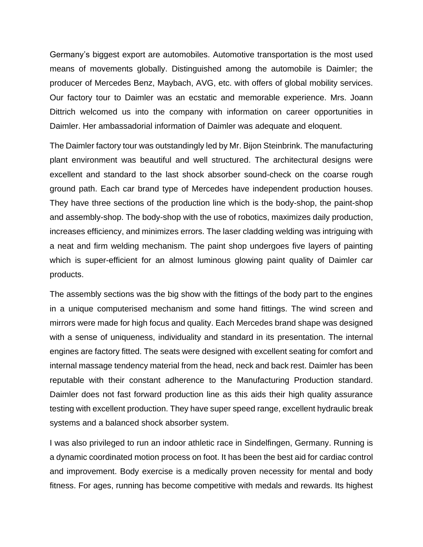Germany's biggest export are automobiles. Automotive transportation is the most used means of movements globally. Distinguished among the automobile is Daimler; the producer of Mercedes Benz, Maybach, AVG, etc. with offers of global mobility services. Our factory tour to Daimler was an ecstatic and memorable experience. Mrs. Joann Dittrich welcomed us into the company with information on career opportunities in Daimler. Her ambassadorial information of Daimler was adequate and eloquent.

The Daimler factory tour was outstandingly led by Mr. Bijon Steinbrink. The manufacturing plant environment was beautiful and well structured. The architectural designs were excellent and standard to the last shock absorber sound-check on the coarse rough ground path. Each car brand type of Mercedes have independent production houses. They have three sections of the production line which is the body-shop, the paint-shop and assembly-shop. The body-shop with the use of robotics, maximizes daily production, increases efficiency, and minimizes errors. The laser cladding welding was intriguing with a neat and firm welding mechanism. The paint shop undergoes five layers of painting which is super-efficient for an almost luminous glowing paint quality of Daimler car products.

The assembly sections was the big show with the fittings of the body part to the engines in a unique computerised mechanism and some hand fittings. The wind screen and mirrors were made for high focus and quality. Each Mercedes brand shape was designed with a sense of uniqueness, individuality and standard in its presentation. The internal engines are factory fitted. The seats were designed with excellent seating for comfort and internal massage tendency material from the head, neck and back rest. Daimler has been reputable with their constant adherence to the Manufacturing Production standard. Daimler does not fast forward production line as this aids their high quality assurance testing with excellent production. They have super speed range, excellent hydraulic break systems and a balanced shock absorber system.

I was also privileged to run an indoor athletic race in Sindelfingen, Germany. Running is a dynamic coordinated motion process on foot. It has been the best aid for cardiac control and improvement. Body exercise is a medically proven necessity for mental and body fitness. For ages, running has become competitive with medals and rewards. Its highest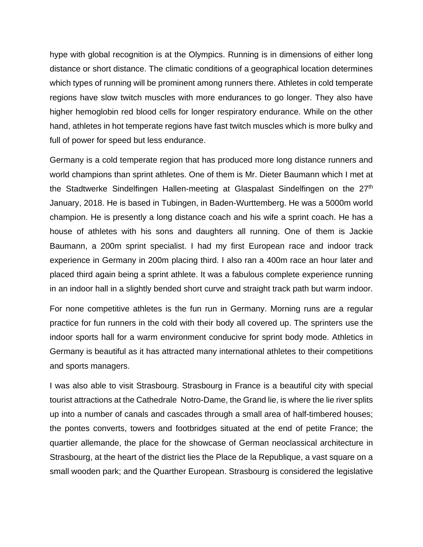hype with global recognition is at the Olympics. Running is in dimensions of either long distance or short distance. The climatic conditions of a geographical location determines which types of running will be prominent among runners there. Athletes in cold temperate regions have slow twitch muscles with more endurances to go longer. They also have higher hemoglobin red blood cells for longer respiratory endurance. While on the other hand, athletes in hot temperate regions have fast twitch muscles which is more bulky and full of power for speed but less endurance.

Germany is a cold temperate region that has produced more long distance runners and world champions than sprint athletes. One of them is Mr. Dieter Baumann which I met at the Stadtwerke Sindelfingen Hallen-meeting at Glaspalast Sindelfingen on the 27<sup>th</sup> January, 2018. He is based in Tubingen, in Baden-Wurttemberg. He was a 5000m world champion. He is presently a long distance coach and his wife a sprint coach. He has a house of athletes with his sons and daughters all running. One of them is Jackie Baumann, a 200m sprint specialist. I had my first European race and indoor track experience in Germany in 200m placing third. I also ran a 400m race an hour later and placed third again being a sprint athlete. It was a fabulous complete experience running in an indoor hall in a slightly bended short curve and straight track path but warm indoor.

For none competitive athletes is the fun run in Germany. Morning runs are a regular practice for fun runners in the cold with their body all covered up. The sprinters use the indoor sports hall for a warm environment conducive for sprint body mode. Athletics in Germany is beautiful as it has attracted many international athletes to their competitions and sports managers.

I was also able to visit Strasbourg. Strasbourg in France is a beautiful city with special tourist attractions at the Cathedrale Notro-Dame, the Grand lie, is where the lie river splits up into a number of canals and cascades through a small area of half-timbered houses; the pontes converts, towers and footbridges situated at the end of petite France; the quartier allemande, the place for the showcase of German neoclassical architecture in Strasbourg, at the heart of the district lies the Place de la Republique, a vast square on a small wooden park; and the Quarther European. Strasbourg is considered the legislative